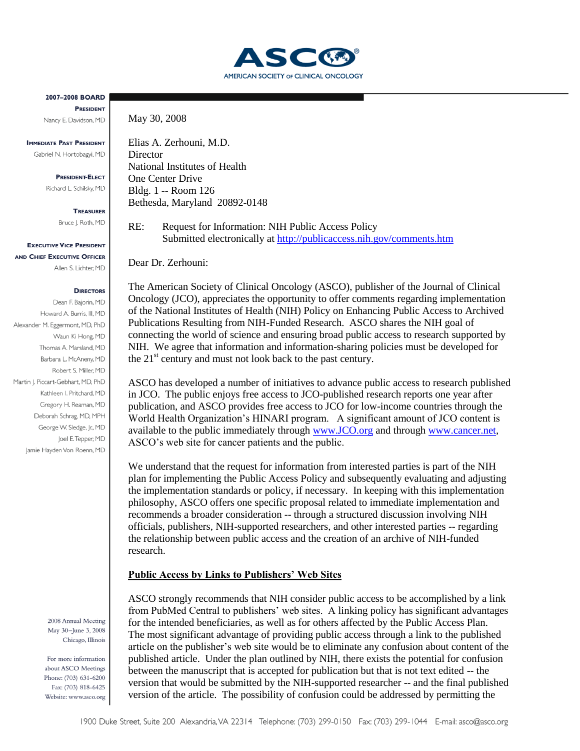

2007-2008 BOARD **PRESIDENT** Nancy E. Davidson, MD

**IMMEDIATE PAST PRESIDENT** Gabriel N. Hortobagyi, MD

> **PRESIDENT-FLECT** Richard L. Schilsky, MD

> > **TREASURER**

Bruce J. Roth, MD

**EXECUTIVE VICE PRESIDENT** AND CHIEF EXECUTIVE OFFICER Allen S. Lichter, MD

### **DIRECTORS**

Dean F. Bajorin, MD Howard A. Burris, III, MD Alexander M. Eggermont, MD, PhD Waun Ki Hong, MD Thomas A. Marsland, MD Barbara L. McAneny, MD Robert S. Miller, MD Martin J. Piccart-Gebhart, MD, PhD Kathleen I. Pritchard, MD Gregory H. Reaman, MD Deborah Schrag, MD, MPH George W. Sledge, Jr., MD Joel E. Tepper, MD Jamie Hayden Von Roenn, MD

> 2008 Annual Meeting May 30-June 3, 2008 Chicago, Illinois

For more information about ASCO Meetings Phone: (703) 631-6200 Fax: (703) 818-6425 Website: www.asco.org May 30, 2008

Elias A. Zerhouni, M.D. **Director** National Institutes of Health One Center Drive Bldg. 1 -- Room 126 Bethesda, Maryland 20892-0148

RE: Request for Information: NIH Public Access Policy Submitted electronically at<http://publicaccess.nih.gov/comments.htm>

Dear Dr. Zerhouni:

The American Society of Clinical Oncology (ASCO), publisher of the Journal of Clinical Oncology (JCO), appreciates the opportunity to offer comments regarding implementation of the National Institutes of Health (NIH) Policy on Enhancing Public Access to Archived Publications Resulting from NIH-Funded Research. ASCO shares the NIH goal of connecting the world of science and ensuring broad public access to research supported by NIH. We agree that information and information-sharing policies must be developed for the  $21<sup>st</sup>$  century and must not look back to the past century.

ASCO has developed a number of initiatives to advance public access to research published in JCO. The public enjoys free access to JCO-published research reports one year after publication, and ASCO provides free access to JCO for low-income countries through the World Health Organization's HINARI program. A significant amount of JCO content is available to the public immediately through [www.JCO.org](http://www.jco.org/) and through [www.cancer.net,](http://www.cancer.net/) ASCO's web site for cancer patients and the public.

We understand that the request for information from interested parties is part of the NIH plan for implementing the Public Access Policy and subsequently evaluating and adjusting the implementation standards or policy, if necessary. In keeping with this implementation philosophy, ASCO offers one specific proposal related to immediate implementation and recommends a broader consideration -- through a structured discussion involving NIH officials, publishers, NIH-supported researchers, and other interested parties -- regarding the relationship between public access and the creation of an archive of NIH-funded research.

# **Public Access by Links to Publishers' Web Sites**

ASCO strongly recommends that NIH consider public access to be accomplished by a link from PubMed Central to publishers' web sites. A linking policy has significant advantages for the intended beneficiaries, as well as for others affected by the Public Access Plan. The most significant advantage of providing public access through a link to the published article on the publisher's web site would be to eliminate any confusion about content of the published article. Under the plan outlined by NIH, there exists the potential for confusion between the manuscript that is accepted for publication but that is not text edited -- the version that would be submitted by the NIH-supported researcher -- and the final published version of the article. The possibility of confusion could be addressed by permitting the